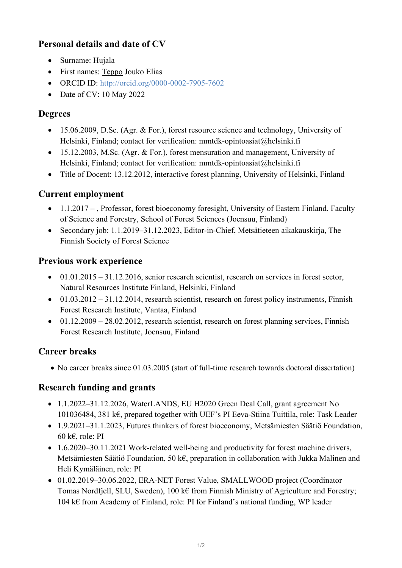# **Personal details and date of CV**

- Surname: Hujala
- First names: Teppo Jouko Elias
- ORCID ID:<http://orcid.org/0000-0002-7905-7602>
- Date of CV: 10 May 2022

### **Degrees**

- 15.06.2009, D.Sc. (Agr. & For.), forest resource science and technology, University of Helsinki, Finland; contact for verification: mmtdk-opintoasiat@helsinki.fi
- 15.12.2003, M.Sc. (Agr. & For.), forest mensuration and management, University of Helsinki, Finland; contact for verification: mmtdk-opintoasiat@helsinki.fi
- Title of Docent: 13.12.2012, interactive forest planning, University of Helsinki, Finland

## **Current employment**

- 1.1.2017 , Professor, forest bioeconomy foresight, University of Eastern Finland, Faculty of Science and Forestry, School of Forest Sciences (Joensuu, Finland)
- Secondary job: 1.1.2019–31.12.2023, Editor-in-Chief, Metsätieteen aikakauskirja, The Finnish Society of Forest Science

## **Previous work experience**

- $\bullet$  01.01.2015 31.12.2016, senior research scientist, research on services in forest sector, Natural Resources Institute Finland, Helsinki, Finland
- $\bullet$  01.03.2012 31.12.2014, research scientist, research on forest policy instruments, Finnish Forest Research Institute, Vantaa, Finland
- $\bullet$  01.12.2009 28.02.2012, research scientist, research on forest planning services, Finnish Forest Research Institute, Joensuu, Finland

## **Career breaks**

• No career breaks since 01.03.2005 (start of full-time research towards doctoral dissertation)

## **Research funding and grants**

- 1.1.2022–31.12.2026, WaterLANDS, EU H2020 Green Deal Call, grant agreement No 101036484, 381 k€, prepared together with UEF's PI Eeva-Stiina Tuittila, role: Task Leader
- 1.9.2021–31.1.2023, Futures thinkers of forest bioeconomy, Metsämiesten Säätiö Foundation, 60 k $\varepsilon$ , role: PI
- 1.6.2020–30.11.2021 Work-related well-being and productivity for forest machine drivers, Metsämiesten Säätiö Foundation, 50 k€, preparation in collaboration with Jukka Malinen and Heli Kymäläinen, role: PI
- 01.02.2019–30.06.2022, ERA-NET Forest Value, SMALLWOOD project (Coordinator Tomas Nordfjell, SLU, Sweden), 100 k€ from Finnish Ministry of Agriculture and Forestry; 104 k€ from Academy of Finland, role: PI for Finland's national funding, WP leader